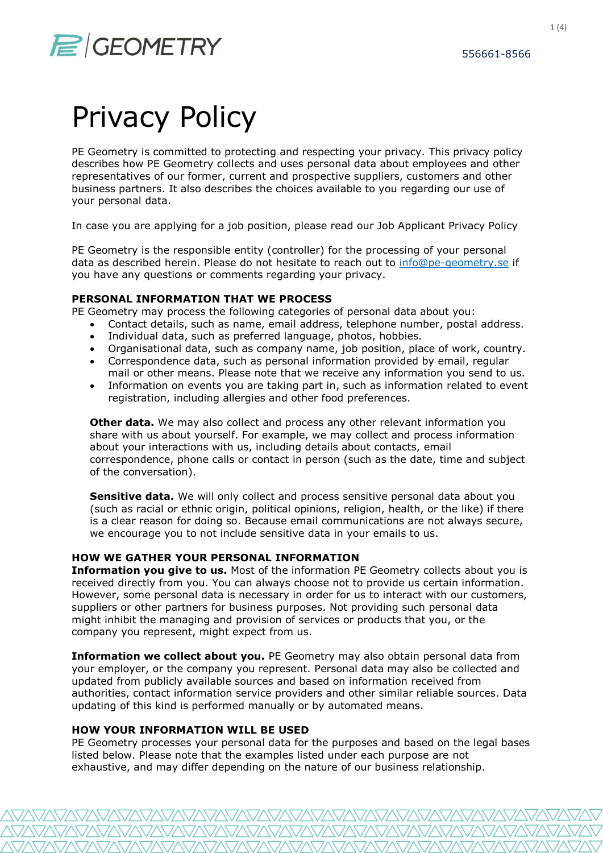# $\mathcal{F}$  GEOMETRY 556661-8566

# Privacy Policy

PE Geometry is committed to protecting and respecting your privacy. This privacy policy describes how PE Geometry collects and uses personal data about employees and other representatives of our former, current and prospective suppliers, customers and other business partners. It also describes the choices available to you regarding our use of your personal data.

In case you are applying for a job position, please read our Job Applicant Privacy Policy

PE Geometry is the responsible entity (controller) for the processing of your personal data as described herein. Please do not hesitate to reach out to info@pe-geometry.se if you have any questions or comments regarding your privacy.

### PERSONAL INFORMATION THAT WE PROCESS

PE Geometry may process the following categories of personal data about you:

- Contact details, such as name, email address, telephone number, postal address.
- Individual data, such as preferred language, photos, hobbies.
- Organisational data, such as company name, job position, place of work, country.
- Correspondence data, such as personal information provided by email, regular mail or other means. Please note that we receive any information you send to us.
- Information on events you are taking part in, such as information related to event registration, including allergies and other food preferences.

**Other data.** We may also collect and process any other relevant information you share with us about yourself. For example, we may collect and process information about your interactions with us, including details about contacts, email correspondence, phone calls or contact in person (such as the date, time and subject of the conversation).

Sensitive data. We will only collect and process sensitive personal data about you (such as racial or ethnic origin, political opinions, religion, health, or the like) if there is a clear reason for doing so. Because email communications are not always secure, we encourage you to not include sensitive data in your emails to us.

### HOW WE GATHER YOUR PERSONAL INFORMATION

Information you give to us. Most of the information PE Geometry collects about you is received directly from you. You can always choose not to provide us certain information. However, some personal data is necessary in order for us to interact with our customers, suppliers or other partners for business purposes. Not providing such personal data might inhibit the managing and provision of services or products that you, or the company you represent, might expect from us.

Information we collect about you. PE Geometry may also obtain personal data from your employer, or the company you represent. Personal data may also be collected and updated from publicly available sources and based on information received from authorities, contact information service providers and other similar reliable sources. Data updating of this kind is performed manually or by automated means.

### HOW YOUR INFORMATION WILL BE USED

PE Geometry processes your personal data for the purposes and based on the legal bases listed below. Please note that the examples listed under each purpose are not exhaustive, and may differ depending on the nature of our business relationship.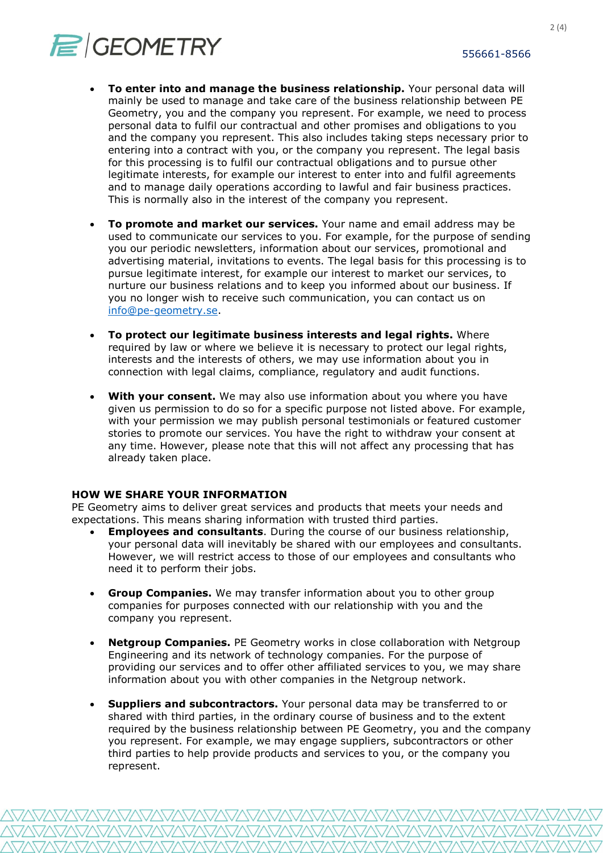

- To enter into and manage the business relationship. Your personal data will mainly be used to manage and take care of the business relationship between PE Geometry, you and the company you represent. For example, we need to process personal data to fulfil our contractual and other promises and obligations to you and the company you represent. This also includes taking steps necessary prior to entering into a contract with you, or the company you represent. The legal basis for this processing is to fulfil our contractual obligations and to pursue other legitimate interests, for example our interest to enter into and fulfil agreements and to manage daily operations according to lawful and fair business practices. This is normally also in the interest of the company you represent.
- To promote and market our services. Your name and email address may be used to communicate our services to you. For example, for the purpose of sending you our periodic newsletters, information about our services, promotional and advertising material, invitations to events. The legal basis for this processing is to pursue legitimate interest, for example our interest to market our services, to nurture our business relations and to keep you informed about our business. If you no longer wish to receive such communication, you can contact us on info@pe-geometry.se.
- To protect our legitimate business interests and legal rights. Where required by law or where we believe it is necessary to protect our legal rights, interests and the interests of others, we may use information about you in connection with legal claims, compliance, regulatory and audit functions.
- With your consent. We may also use information about you where you have given us permission to do so for a specific purpose not listed above. For example, with your permission we may publish personal testimonials or featured customer stories to promote our services. You have the right to withdraw your consent at any time. However, please note that this will not affect any processing that has already taken place.

### HOW WE SHARE YOUR INFORMATION

PE Geometry aims to deliver great services and products that meets your needs and expectations. This means sharing information with trusted third parties.

- Employees and consultants. During the course of our business relationship, your personal data will inevitably be shared with our employees and consultants. However, we will restrict access to those of our employees and consultants who need it to perform their jobs.
- Group Companies. We may transfer information about you to other group companies for purposes connected with our relationship with you and the company you represent.
- Netgroup Companies. PE Geometry works in close collaboration with Netgroup Engineering and its network of technology companies. For the purpose of providing our services and to offer other affiliated services to you, we may share information about you with other companies in the Netgroup network.
- Suppliers and subcontractors. Your personal data may be transferred to or shared with third parties, in the ordinary course of business and to the extent required by the business relationship between PE Geometry, you and the company you represent. For example, we may engage suppliers, subcontractors or other third parties to help provide products and services to you, or the company you represent.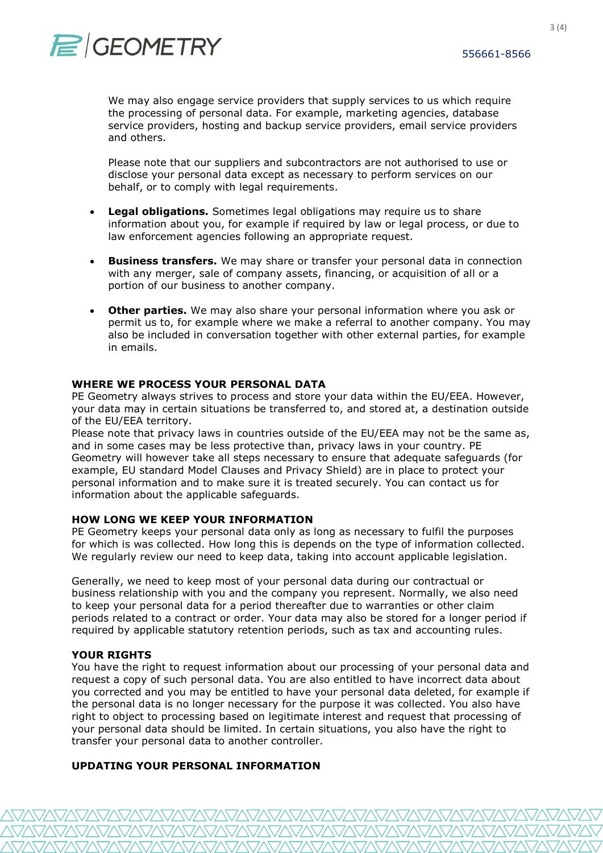We may also engage service providers that supply services to us which require the processing of personal data. For example, marketing agencies, database service providers, hosting and backup service providers, email service providers and others.

Please note that our suppliers and subcontractors are not authorised to use or disclose your personal data except as necessary to perform services on our behalf, or to comply with legal requirements.

- Legal obligations. Sometimes legal obligations may require us to share information about you, for example if required by law or legal process, or due to law enforcement agencies following an appropriate request.
- **Business transfers.** We may share or transfer your personal data in connection with any merger, sale of company assets, financing, or acquisition of all or a portion of our business to another company.
- Other parties. We may also share your personal information where you ask or permit us to, for example where we make a referral to another company. You may also be included in conversation together with other external parties, for example in emails.

### WHERE WE PROCESS YOUR PERSONAL DATA

PE Geometry always strives to process and store your data within the EU/EEA. However, your data may in certain situations be transferred to, and stored at, a destination outside of the EU/EEA territory.

Please note that privacy laws in countries outside of the EU/EEA may not be the same as, and in some cases may be less protective than, privacy laws in your country. PE Geometry will however take all steps necessary to ensure that adequate safeguards (for example, EU standard Model Clauses and Privacy Shield) are in place to protect your personal information and to make sure it is treated securely. You can contact us for information about the applicable safeguards.

### HOW LONG WE KEEP YOUR INFORMATION

PE Geometry keeps your personal data only as long as necessary to fulfil the purposes for which is was collected. How long this is depends on the type of information collected. We regularly review our need to keep data, taking into account applicable legislation.

Generally, we need to keep most of your personal data during our contractual or business relationship with you and the company you represent. Normally, we also need to keep your personal data for a period thereafter due to warranties or other claim periods related to a contract or order. Your data may also be stored for a longer period if required by applicable statutory retention periods, such as tax and accounting rules.

### YOUR RIGHTS

You have the right to request information about our processing of your personal data and request a copy of such personal data. You are also entitled to have incorrect data about you corrected and you may be entitled to have your personal data deleted, for example if the personal data is no longer necessary for the purpose it was collected. You also have right to object to processing based on legitimate interest and request that processing of your personal data should be limited. In certain situations, you also have the right to transfer your personal data to another controller.

### UPDATING YOUR PERSONAL INFORMATION